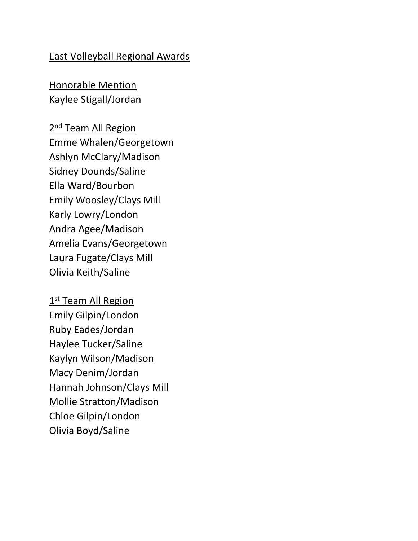#### East Volleyball Regional Awards

Honorable Mention Kaylee Stigall/Jordan

2<sup>nd</sup> Team All Region Emme Whalen/Georgetown Ashlyn McClary/Madison Sidney Dounds/Saline Ella Ward/Bourbon Emily Woosley/Clays Mill Karly Lowry/London Andra Agee/Madison Amelia Evans/Georgetown Laura Fugate/Clays Mill Olivia Keith/Saline

1<sup>st</sup> Team All Region Emily Gilpin/London Ruby Eades/Jordan Haylee Tucker/Saline Kaylyn Wilson/Madison Macy Denim/Jordan Hannah Johnson/Clays Mill Mollie Stratton/Madison Chloe Gilpin/London Olivia Boyd/Saline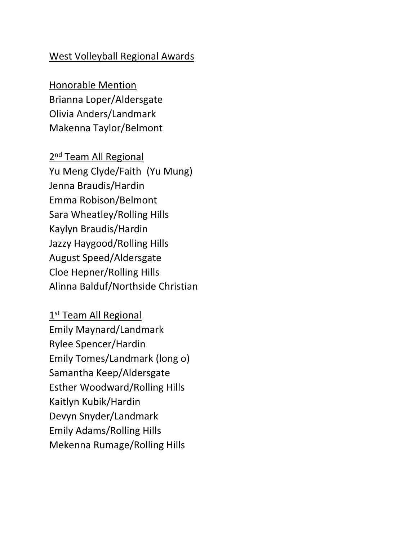#### West Volleyball Regional Awards

Honorable Mention Brianna Loper/Aldersgate Olivia Anders/Landmark Makenna Taylor/Belmont

2<sup>nd</sup> Team All Regional Yu Meng Clyde/Faith (Yu Mung) Jenna Braudis/Hardin Emma Robison/Belmont Sara Wheatley/Rolling Hills Kaylyn Braudis/Hardin Jazzy Haygood/Rolling Hills August Speed/Aldersgate Cloe Hepner/Rolling Hills Alinna Balduf/Northside Christian

1<sup>st</sup> Team All Regional Emily Maynard/Landmark Rylee Spencer/Hardin Emily Tomes/Landmark (long o) Samantha Keep/Aldersgate Esther Woodward/Rolling Hills Kaitlyn Kubik/Hardin Devyn Snyder/Landmark Emily Adams/Rolling Hills Mekenna Rumage/Rolling Hills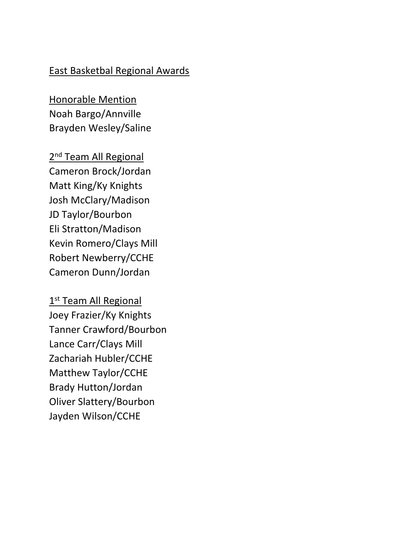### East Basketbal Regional Awards

Honorable Mention Noah Bargo/Annville Brayden Wesley/Saline

2<sup>nd</sup> Team All Regional Cameron Brock/Jordan Matt King/Ky Knights Josh McClary/Madison JD Taylor/Bourbon Eli Stratton/Madison Kevin Romero/Clays Mill Robert Newberry/CCHE Cameron Dunn/Jordan

1<sup>st</sup> Team All Regional Joey Frazier/Ky Knights Tanner Crawford/Bourbon Lance Carr/Clays Mill Zachariah Hubler/CCHE Matthew Taylor/CCHE Brady Hutton/Jordan Oliver Slattery/Bourbon Jayden Wilson/CCHE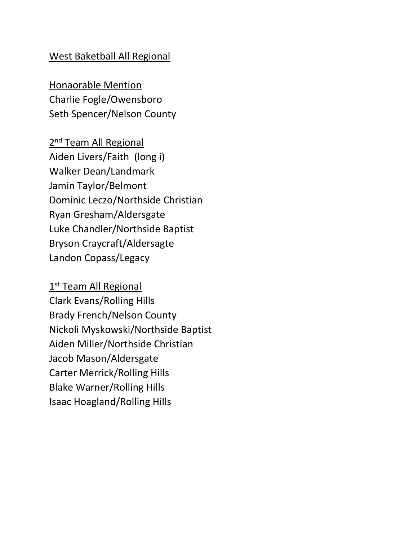#### West Baketball All Regional

Honaorable Mention Charlie Fogle/Owensboro Seth Spencer/Nelson County

2<sup>nd</sup> Team All Regional Aiden Livers/Faith (long i) Walker Dean/Landmark Jamin Taylor/Belmont Dominic Leczo/Northside Christian Ryan Gresham/Aldersgate Luke Chandler/Northside Baptist Bryson Craycraft/Aldersagte Landon Copass/Legacy

1<sup>st</sup> Team All Regional Clark Evans/Rolling Hills Brady French/Nelson County Nickoli Myskowski/Northside Baptist Aiden Miller/Northside Christian Jacob Mason/Aldersgate Carter Merrick/Rolling Hills Blake Warner/Rolling Hills Isaac Hoagland/Rolling Hills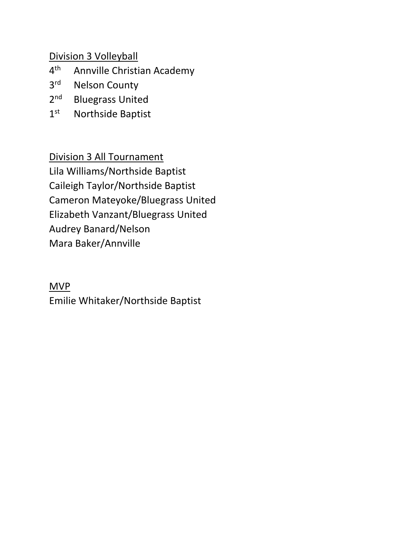Division 3 Volleyball

- $4<sup>th</sup>$ Annville Christian Academy
- 3<sup>rd</sup> Nelson County
- $2<sup>nd</sup>$ Bluegrass United
- $1<sup>st</sup>$ Northside Baptist

Division 3 All Tournament Lila Williams/Northside Baptist Caileigh Taylor/Northside Baptist Cameron Mateyoke/Bluegrass United Elizabeth Vanzant/Bluegrass United Audrey Banard/Nelson Mara Baker/Annville

## MVP

Emilie Whitaker/Northside Baptist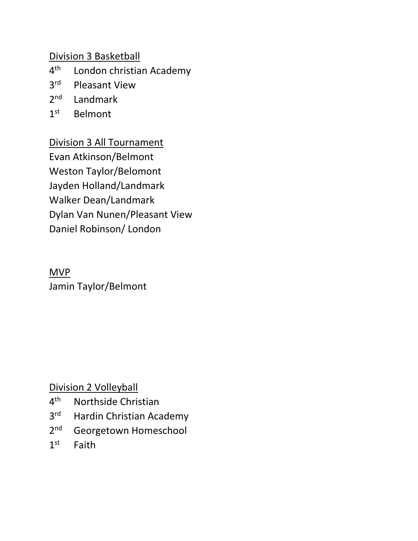Division 3 Basketball

- $4<sup>th</sup>$ London christian Academy
- 3<sup>rd</sup> Pleasant View
- $2<sup>nd</sup>$ Landmark
- $1<sup>st</sup>$ **Belmont**

Division 3 All Tournament Evan Atkinson/Belmont Weston Taylor/Belomont Jayden Holland/Landmark Walker Dean/Landmark Dylan Van Nunen/Pleasant View Daniel Robinson/ London

# MVP

Jamin Taylor/Belmont

Division 2 Volleyball

- $4<sup>th</sup>$ Northside Christian
- 3<sup>rd</sup> Hardin Christian Academy
- $2<sub>nd</sub>$ Georgetown Homeschool
- $1<sup>st</sup>$ Faith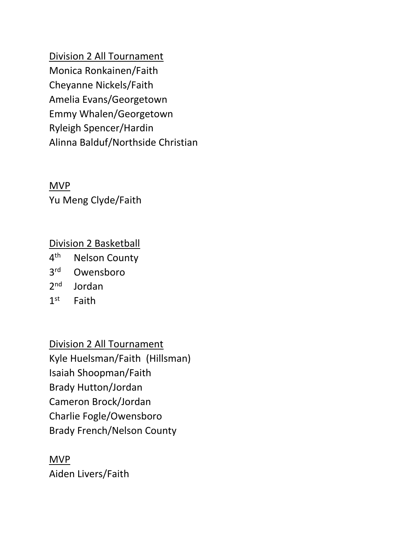Division 2 All Tournament Monica Ronkainen/Faith Cheyanne Nickels/Faith Amelia Evans/Georgetown Emmy Whalen/Georgetown Ryleigh Spencer/Hardin Alinna Balduf/Northside Christian

MVP Yu Meng Clyde/Faith

## Division 2 Basketball

- $4<sup>th</sup>$ **Nelson County**
- 3rd Owensboro
- $2<sub>nd</sub>$ Jordan
- $1<sup>st</sup>$ Faith

Division 2 All Tournament Kyle Huelsman/Faith (Hillsman) Isaiah Shoopman/Faith Brady Hutton/Jordan Cameron Brock/Jordan Charlie Fogle/Owensboro Brady French/Nelson County

MVP Aiden Livers/Faith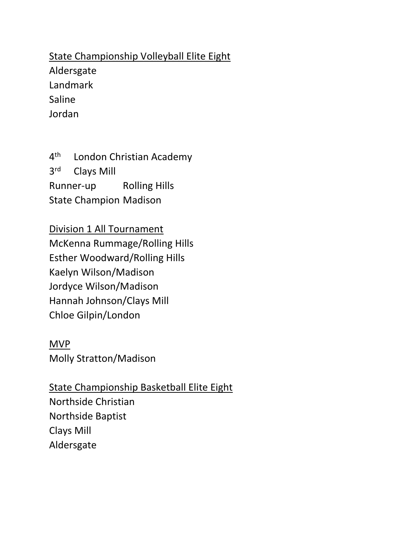State Championship Volleyball Elite Eight Aldersgate Landmark Saline Jordan

 $4<sup>th</sup>$ London Christian Academy 3rd **Clays Mill** Runner-up Rolling Hills State Champion Madison

Division 1 All Tournament McKenna Rummage/Rolling Hills Esther Woodward/Rolling Hills Kaelyn Wilson/Madison Jordyce Wilson/Madison Hannah Johnson/Clays Mill Chloe Gilpin/London

MVP Molly Stratton/Madison

State Championship Basketball Elite Eight Northside Christian Northside Baptist Clays Mill Aldersgate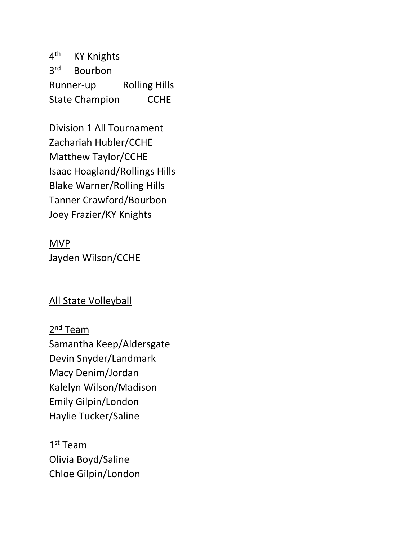$4<sup>th</sup>$ **KY Knights** 3rd **Bourbon** Runner-up Rolling Hills State Champion CCHE

Division 1 All Tournament Zachariah Hubler/CCHE Matthew Taylor/CCHE Isaac Hoagland/Rollings Hills Blake Warner/Rolling Hills Tanner Crawford/Bourbon Joey Frazier/KY Knights

MVP Jayden Wilson/CCHE

### All State Volleyball

2<sup>nd</sup> Team Samantha Keep/Aldersgate Devin Snyder/Landmark Macy Denim/Jordan Kalelyn Wilson/Madison Emily Gilpin/London Haylie Tucker/Saline

 $1^{\text{st}}$  Team Olivia Boyd/Saline Chloe Gilpin/London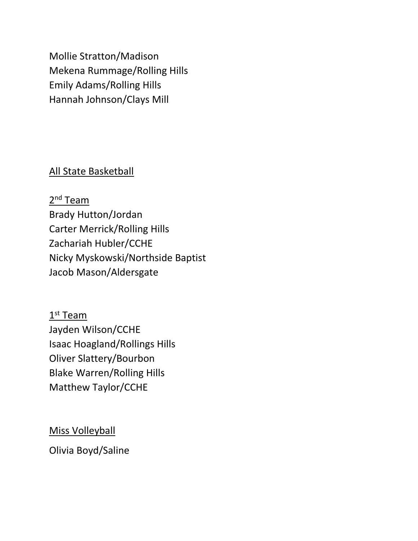Mollie Stratton/Madison Mekena Rummage/Rolling Hills Emily Adams/Rolling Hills Hannah Johnson/Clays Mill

### All State Basketball

2<sup>nd</sup> Team Brady Hutton/Jordan Carter Merrick/Rolling Hills Zachariah Hubler/CCHE Nicky Myskowski/Northside Baptist Jacob Mason/Aldersgate

 $1^{\text{st}}$  Team Jayden Wilson/CCHE Isaac Hoagland/Rollings Hills Oliver Slattery/Bourbon Blake Warren/Rolling Hills Matthew Taylor/CCHE

Miss Volleyball

Olivia Boyd/Saline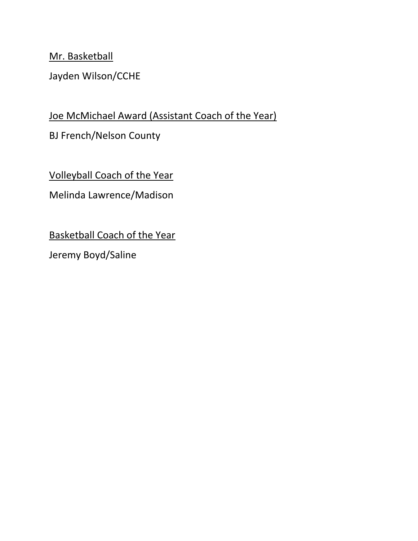Mr. Basketball

Jayden Wilson/CCHE

# Joe McMichael Award (Assistant Coach of the Year)

BJ French/Nelson County

Volleyball Coach of the Year

Melinda Lawrence/Madison

Basketball Coach of the Year

Jeremy Boyd/Saline